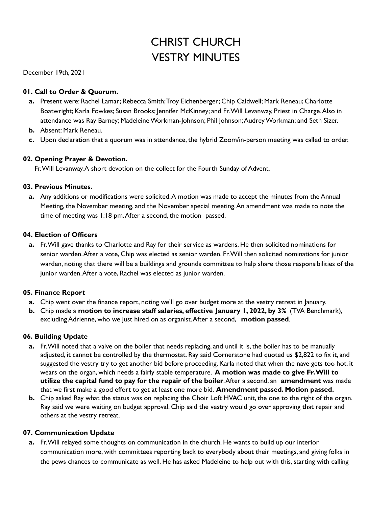# CHRIST CHURCH VESTRY MINUTES

December 19th, 2021

# **01. Call to Order & Quorum.**

- **a.** Present were: Rachel Lamar; Rebecca Smith;Troy Eichenberger; Chip Caldwell; Mark Reneau; Charlotte Boatwright; Karla Fowkes; Susan Brooks; Jennifer McKinney; and Fr. Will Levanway, Priest in Charge. Also in attendance was Ray Barney; MadeleineWorkman-Johnson; Phil Johnson;AudreyWorkman; and Seth Sizer.
- **b.** Absent: Mark Reneau.
- **c.** Upon declaration that a quorum was in attendance, the hybrid Zoom/in-person meeting was called to order.

## **02. Opening Prayer & Devotion.**

Fr.Will Levanway.A short devotion on the collect for the Fourth Sunday of Advent.

#### **03. Previous Minutes.**

**a.** Any additions or modifications were solicited.A motion was made to accept the minutes from the Annual Meeting, the November meeting, and the November special meeting.An amendment was made to note the time of meeting was 1:18 pm.After a second, the motion passed.

#### **04. Election of Officers**

**a.** Fr.Will gave thanks to Charlotte and Ray for their service as wardens. He then solicited nominations for senior warden.After a vote, Chip was elected as senior warden. Fr.Will then solicited nominations for junior warden, noting that there will be a buildings and grounds committee to help share those responsibilities of the junior warden.After a vote, Rachel was elected as junior warden.

## **05. Finance Report**

- **a.** Chip went over the finance report, noting we'll go over budget more at the vestry retreat in January.
- **b.** Chip made a **motion to increase staff salaries, effective January 1, 2022, by 3%** (TVA Benchmark), excluding Adrienne, who we just hired on as organist.After a second, **motion passed**.

## **06. Building Update**

- **a.** Fr.Will noted that a valve on the boiler that needs replacing, and until it is, the boiler has to be manually adjusted, it cannot be controlled by the thermostat. Ray said Cornerstone had quoted us \$2,822 to fix it, and suggested the vestry try to get another bid before proceeding. Karla noted that when the nave gets too hot, it wears on the organ, which needs a fairly stable temperature. **A motion was made to give Fr.Will to utilize the capital fund to pay for the repair of the boiler**.After a second, an **amendment** was made that we first make a good effort to get at least one more bid. **Amendment passed. Motion passed.**
- **b.** Chip asked Ray what the status was on replacing the Choir Loft HVAC unit, the one to the right of the organ. Ray said we were waiting on budget approval. Chip said the vestry would go over approving that repair and others at the vestry retreat.

## **07. Communication Update**

**a.** Fr.Will relayed some thoughts on communication in the church. He wants to build up our interior communication more, with committees reporting back to everybody about their meetings, and giving folks in the pews chances to communicate as well. He has asked Madeleine to help out with this, starting with calling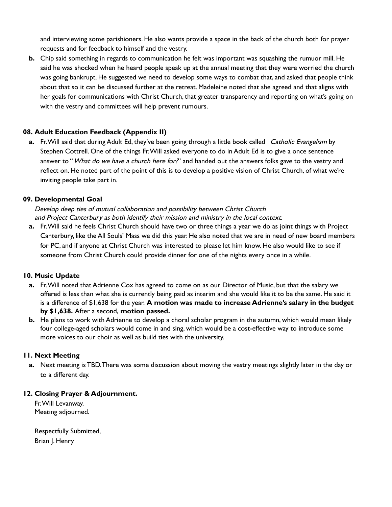and interviewing some parishioners. He also wants provide a space in the back of the church both for prayer requests and for feedback to himself and the vestry.

**b.** Chip said something in regards to communication he felt was important was squashing the rumuor mill. He said he was shocked when he heard people speak up at the annual meeting that they were worried the church was going bankrupt. He suggested we need to develop some ways to combat that, and asked that people think about that so it can be discussed further at the retreat. Madeleine noted that she agreed and that aligns with her goals for communications with Christ Church, that greater transparency and reporting on what's going on with the vestry and committees will help prevent rumours.

# **08. Adult Education Feedback (Appendix II)**

**a.** Fr.Will said that during Adult Ed, they've been going through a little book called Catholic Evangelism by Stephen Cottrell. One of the things Fr.Will asked everyone to do in Adult Ed is to give a once sentence answer to "What do we have a church here for?" and handed out the answers folks gave to the vestry and reflect on. He noted part of the point of this is to develop a positive vision of Christ Church, of what we're inviting people take part in.

## **09. Developmental Goal**

Develop deep ties of mutual collaboration and possibility between Christ Church and Project Canterbury as both identify their mission and ministry in the local context.

**a.** Fr.Will said he feels Christ Church should have two or three things a year we do as joint things with Project Canterbury, like the All Souls' Mass we did this year. He also noted that we are in need of new board members for PC, and if anyone at Christ Church was interested to please let him know. He also would like to see if someone from Christ Church could provide dinner for one of the nights every once in a while.

## **10. Music Update**

- **a.** Fr.Will noted that Adrienne Cox has agreed to come on as our Director of Music, but that the salary we offered is less than what she is currently being paid as interim and she would like it to be the same. He said it is a difference of \$1,638 for the year. **A motion was made to increase Adrienne's salary in the budget by \$1,638.** After a second, **motion passed.**
- **b.** He plans to work with Adrienne to develop a choral scholar program in the autumn, which would mean likely four college-aged scholars would come in and sing, which would be a cost-effective way to introduce some more voices to our choir as well as build ties with the university.

#### **11. Next Meeting**

**a.** Next meeting is TBD.There was some discussion about moving the vestry meetings slightly later in the day or to a different day.

#### **12. Closing Prayer & Adjournment.**

Fr.Will Levanway. Meeting adjourned.

Respectfully Submitted, Brian J. Henry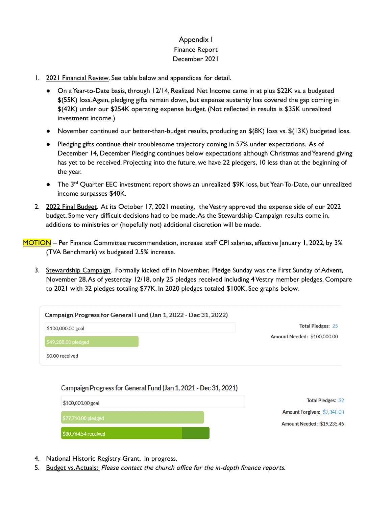# Appendix I Finance Report December 2021

- 1. 2021 Financial Review. See table below and appendices for detail.
	- On a Year-to-Date basis, through 12/14, Realized Net Income came in at plus \$22K vs. a budgeted \$(55K) loss.Again, pledging gifts remain down, but expense austerity has covered the gap coming in \$(42K) under our \$254K operating expense budget. (Not reflected in results is \$35K unrealized investment income.)
	- November continued our better-than-budget results, producing an \$(8K) loss vs. \$(13K) budgeted loss.
	- Pledging gifts continue their troublesome trajectory coming in 57% under expectations. As of December 14, December Pledging continues below expectations although Christmas andYearend giving has yet to be received. Projecting into the future, we have 22 pledgers, 10 less than at the beginning of the year.
	- The 3<sup>rd</sup> Quarter EEC investment report shows an unrealized \$9K loss, but Year-To-Date, our unrealized income surpasses \$40K.
- 2. 2022 Final Budget. At its October 17, 2021 meeting, the Vestry approved the expense side of our 2022 budget. Some very difficult decisions had to be made.As the Stewardship Campaign results come in, additions to ministries or (hopefully not) additional discretion will be made.

MOTION – Per Finance Committee recommendation, increase staff CPI salaries, effective January 1, 2022, by 3% (TVA Benchmark) vs budgeted 2.5% increase.

3. Stewardship Campaign. Formally kicked off in November, Pledge Sunday was the First Sunday of Advent, November 28.As of yesterday 12/18, only 25 pledges received including 4Vestry member pledges. Compare to 2021 with 32 pledges totaling \$77K. In 2020 pledges totaled \$100K. See graphs below.

| Campaign Progress for General Fund (Jan 1, 2022 - Dec 31, 2022) |                             |
|-----------------------------------------------------------------|-----------------------------|
| $$100,000.00$ goal                                              | <b>Total Pledges: 25</b>    |
| \$49,288.00 pledged                                             | Amount Needed: \$100,000.00 |
| \$0.00 received                                                 |                             |

## Campaign Progress for General Fund (Jan 1, 2021 - Dec 31, 2021)

| $$100,000.00$ goal   | <b>Total Pledges: 32</b>    |
|----------------------|-----------------------------|
|                      | Amount Forgiven: \$7,340.00 |
| $$77,710.00$ pledged | Amount Needed: \$19,235.46  |
| \$80,764.54 received |                             |

- 4. National Historic Registry Grant. In progress.
- 5. Budget vs. Actuals: Please contact the church office for the in-depth finance reports.